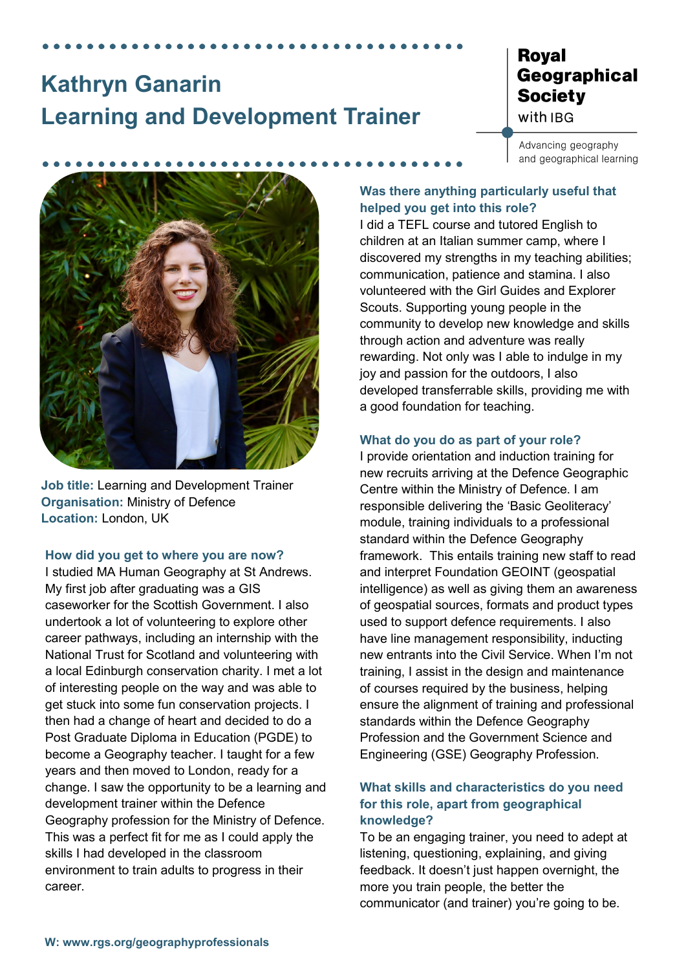# **Kathryn Ganarin Learning and Development Trainer**

# **Royal** Geographical **Society** with IBG

Advancing geography and geographical learning



**Job title:** Learning and Development Trainer **Organisation:** Ministry of Defence **Location:** London, UK

#### **How did you get to where you are now?**

I studied MA Human Geography at St Andrews. My first job after graduating was a GIS caseworker for the Scottish Government. I also undertook a lot of volunteering to explore other career pathways, including an internship with the National Trust for Scotland and volunteering with a local Edinburgh conservation charity. I met a lot of interesting people on the way and was able to get stuck into some fun conservation projects. I then had a change of heart and decided to do a Post Graduate Diploma in Education (PGDE) to become a Geography teacher. I taught for a few years and then moved to London, ready for a change. I saw the opportunity to be a learning and development trainer within the Defence Geography profession for the Ministry of Defence. This was a perfect fit for me as I could apply the skills I had developed in the classroom environment to train adults to progress in their career.

## **Was there anything particularly useful that helped you get into this role?**

I did a TEFL course and tutored English to children at an Italian summer camp, where I discovered my strengths in my teaching abilities; communication, patience and stamina. I also volunteered with the Girl Guides and Explorer Scouts. Supporting young people in the community to develop new knowledge and skills through action and adventure was really rewarding. Not only was I able to indulge in my joy and passion for the outdoors, I also developed transferrable skills, providing me with a good foundation for teaching.

#### **What do you do as part of your role?**

I provide orientation and induction training for new recruits arriving at the Defence Geographic Centre within the Ministry of Defence. I am responsible delivering the 'Basic Geoliteracy' module, training individuals to a professional standard within the Defence Geography framework. This entails training new staff to read and interpret Foundation GEOINT (geospatial intelligence) as well as giving them an awareness of geospatial sources, formats and product types used to support defence requirements. I also have line management responsibility, inducting new entrants into the Civil Service. When I'm not training, I assist in the design and maintenance of courses required by the business, helping ensure the alignment of training and professional standards within the Defence Geography Profession and the Government Science and Engineering (GSE) Geography Profession.

# **What skills and characteristics do you need for this role, apart from geographical knowledge?**

To be an engaging trainer, you need to adept at listening, questioning, explaining, and giving feedback. It doesn't just happen overnight, the more you train people, the better the communicator (and trainer) you're going to be.